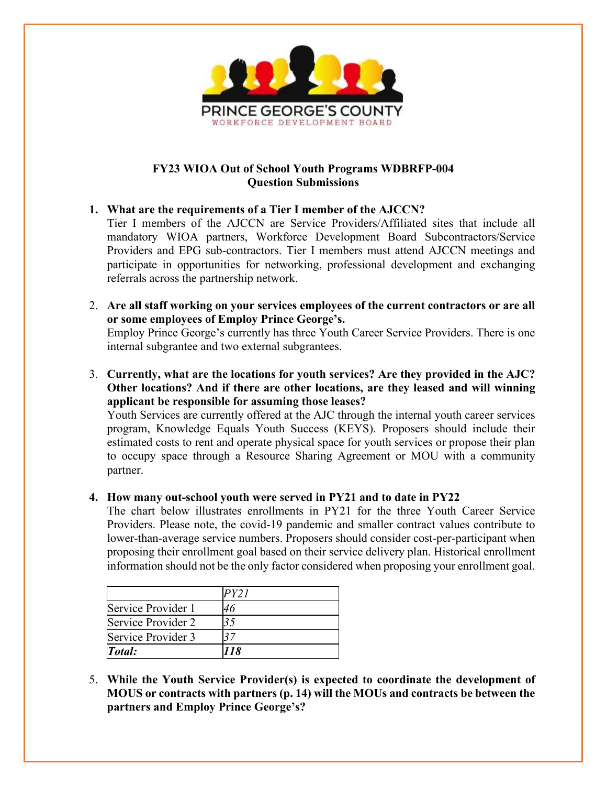

# **FY23 WIOA Out of School Youth Programs WDBRFP-004 Question Submissions**

**1. What are the requirements of a Tier I member of the AJCCN?**

Tier I members of the AJCCN are Service Providers/Affiliated sites that include all mandatory WIOA partners, Workforce Development Board Subcontractors/Service Providers and EPG sub-contractors. Tier I members must attend AJCCN meetings and participate in opportunities for networking, professional development and exchanging referrals across the partnership network.

2. **Are all staff working on your services employees of the current contractors or are all or some employees of Employ Prince George's.**  Employ Prince George's currently has three Youth Career Service Providers. There is one

internal subgrantee and two external subgrantees.

3. **Currently, what are the locations for youth services? Are they provided in the AJC? Other locations? And if there are other locations, are they leased and will winning applicant be responsible for assuming those leases?** 

Youth Services are currently offered at the AJC through the internal youth career services program, Knowledge Equals Youth Success (KEYS). Proposers should include their estimated costs to rent and operate physical space for youth services or propose their plan to occupy space through a Resource Sharing Agreement or MOU with a community partner.

# **4. How many out-school youth were served in PY21 and to date in PY22**

The chart below illustrates enrollments in PY21 for the three Youth Career Service Providers. Please note, the covid-19 pandemic and smaller contract values contribute to lower-than-average service numbers. Proposers should consider cost-per-participant when proposing their enrollment goal based on their service delivery plan. Historical enrollment information should not be the only factor considered when proposing your enrollment goal.

|                    | PY21 |
|--------------------|------|
| Service Provider 1 | 46   |
| Service Provider 2 |      |
| Service Provider 3 |      |
| Total:             | 118  |

5. **While the Youth Service Provider(s) is expected to coordinate the development of MOUS or contracts with partners (p. 14) will the MOUs and contracts be between the partners and Employ Prince George's?**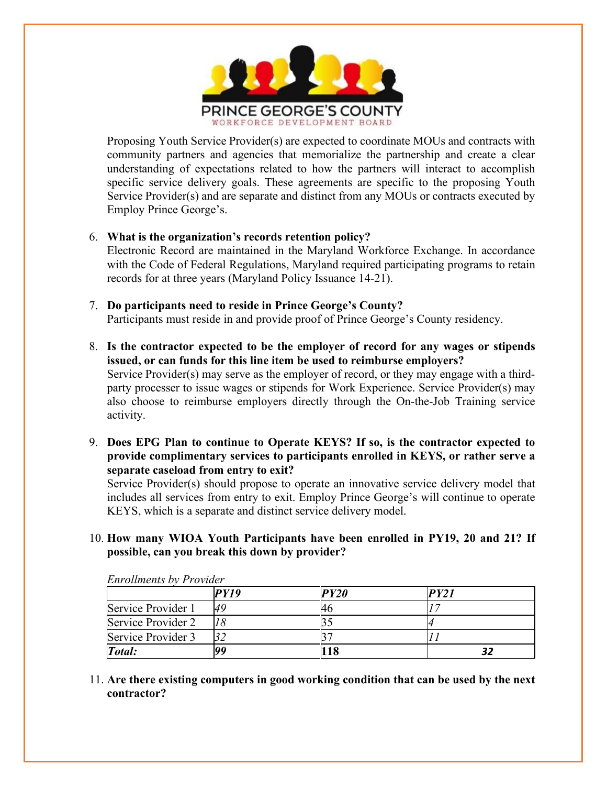

Proposing Youth Service Provider(s) are expected to coordinate MOUs and contracts with community partners and agencies that memorialize the partnership and create a clear understanding of expectations related to how the partners will interact to accomplish specific service delivery goals. These agreements are specific to the proposing Youth Service Provider(s) and are separate and distinct from any MOUs or contracts executed by Employ Prince George's.

# 6. **What is the organization's records retention policy?**

Electronic Record are maintained in the Maryland Workforce Exchange. In accordance with the Code of Federal Regulations, Maryland required participating programs to retain records for at three years (Maryland Policy Issuance 14-21).

- 7. **Do participants need to reside in Prince George's County?**  Participants must reside in and provide proof of Prince George's County residency.
- 8. **Is the contractor expected to be the employer of record for any wages or stipends issued, or can funds for this line item be used to reimburse employers?** Service Provider(s) may serve as the employer of record, or they may engage with a thirdparty processer to issue wages or stipends for Work Experience. Service Provider(s) may also choose to reimburse employers directly through the On-the-Job Training service activity.
- 9. **Does EPG Plan to continue to Operate KEYS? If so, is the contractor expected to provide complimentary services to participants enrolled in KEYS, or rather serve a separate caseload from entry to exit?**

Service Provider(s) should propose to operate an innovative service delivery model that includes all services from entry to exit. Employ Prince George's will continue to operate KEYS, which is a separate and distinct service delivery model.

10. **How many WIOA Youth Participants have been enrolled in PY19, 20 and 21? If possible, can you break this down by provider?**

|                    | <b>PY19</b> | PY20 | PY21 |  |
|--------------------|-------------|------|------|--|
| Service Provider 1 | 49          |      |      |  |
| Service Provider 2 |             |      |      |  |
| Service Provider 3 |             |      |      |  |
| Total:             | 9G          | 18   |      |  |

*Enrollments by Provider*

11. **Are there existing computers in good working condition that can be used by the next contractor?**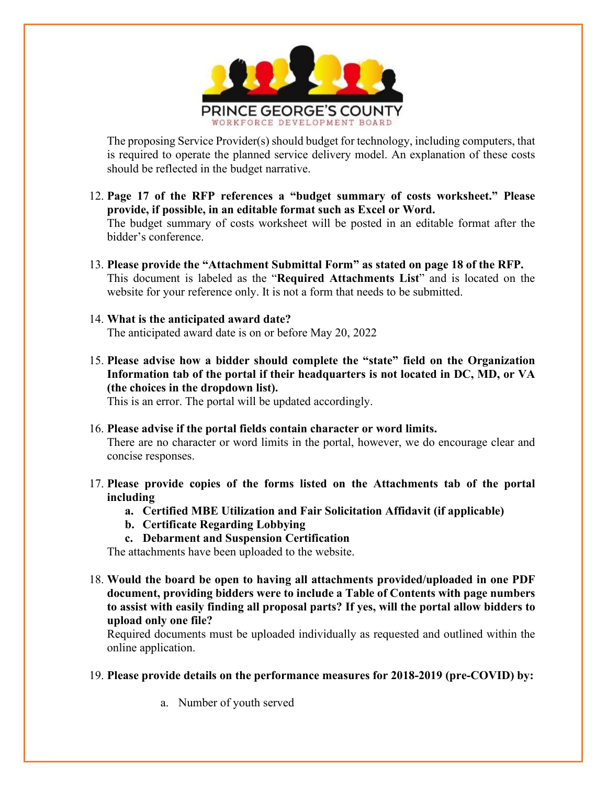

The proposing Service Provider(s) should budget for technology, including computers, that is required to operate the planned service delivery model. An explanation of these costs should be reflected in the budget narrative.

- 12. **Page 17 of the RFP references a "budget summary of costs worksheet." Please provide, if possible, in an editable format such as Excel or Word.** The budget summary of costs worksheet will be posted in an editable format after the bidder's conference.
- 13. **Please provide the "Attachment Submittal Form" as stated on page 18 of the RFP.** This document is labeled as the "**Required Attachments List**" and is located on the website for your reference only. It is not a form that needs to be submitted.
- 14. **What is the anticipated award date?**  The anticipated award date is on or before May 20, 2022
- 15. **Please advise how a bidder should complete the "state" field on the Organization Information tab of the portal if their headquarters is not located in DC, MD, or VA (the choices in the dropdown list).**

This is an error. The portal will be updated accordingly.

- 16. **Please advise if the portal fields contain character or word limits.** There are no character or word limits in the portal, however, we do encourage clear and concise responses.
- 17. **Please provide copies of the forms listed on the Attachments tab of the portal including**
	- **a. Certified MBE Utilization and Fair Solicitation Affidavit (if applicable)**
	- **b. Certificate Regarding Lobbying**
	- **c. Debarment and Suspension Certification**

The attachments have been uploaded to the website.

18. **Would the board be open to having all attachments provided/uploaded in one PDF document, providing bidders were to include a Table of Contents with page numbers to assist with easily finding all proposal parts? If yes, will the portal allow bidders to upload only one file?** 

Required documents must be uploaded individually as requested and outlined within the online application.

- 19. **Please provide details on the performance measures for 2018-2019 (pre-COVID) by:**
	- a. Number of youth served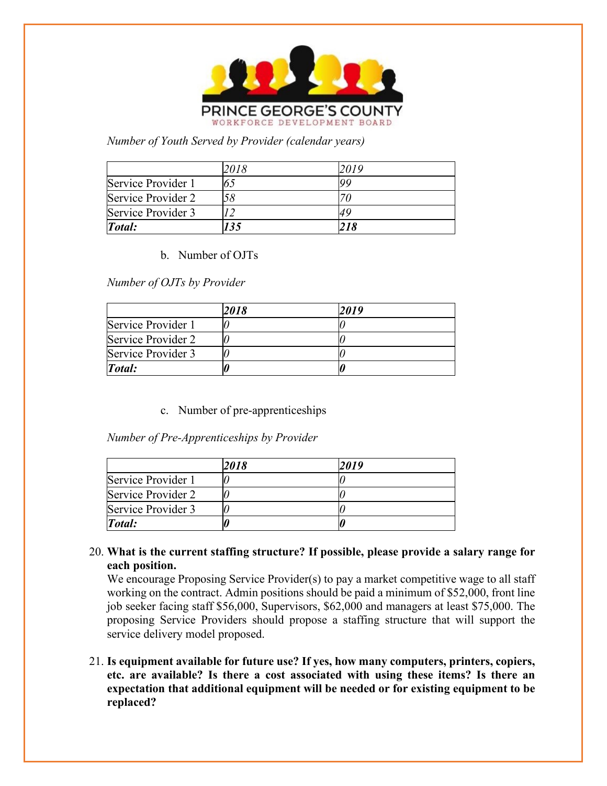

*Number of Youth Served by Provider (calendar years)*

|                    | 2018 |  |
|--------------------|------|--|
| Service Provider 1 |      |  |
| Service Provider 2 |      |  |
| Service Provider 3 |      |  |
| Total:             | 135  |  |

b. Number of OJTs

*Number of OJTs by Provider*

|                    | 2018 | 2019 |
|--------------------|------|------|
| Service Provider 1 |      |      |
| Service Provider 2 |      |      |
| Service Provider 3 |      |      |
| Total:             |      |      |

c. Number of pre-apprenticeships

*Number of Pre-Apprenticeships by Provider*

|                    | 2018 | 2019 |
|--------------------|------|------|
| Service Provider 1 |      |      |
| Service Provider 2 |      |      |
| Service Provider 3 |      |      |
| Total:             |      |      |

# 20. **What is the current staffing structure? If possible, please provide a salary range for each position.**

We encourage Proposing Service Provider(s) to pay a market competitive wage to all staff working on the contract. Admin positions should be paid a minimum of \$52,000, front line job seeker facing staff \$56,000, Supervisors, \$62,000 and managers at least \$75,000. The proposing Service Providers should propose a staffing structure that will support the service delivery model proposed.

21. **Is equipment available for future use? If yes, how many computers, printers, copiers, etc. are available? Is there a cost associated with using these items? Is there an expectation that additional equipment will be needed or for existing equipment to be replaced?**